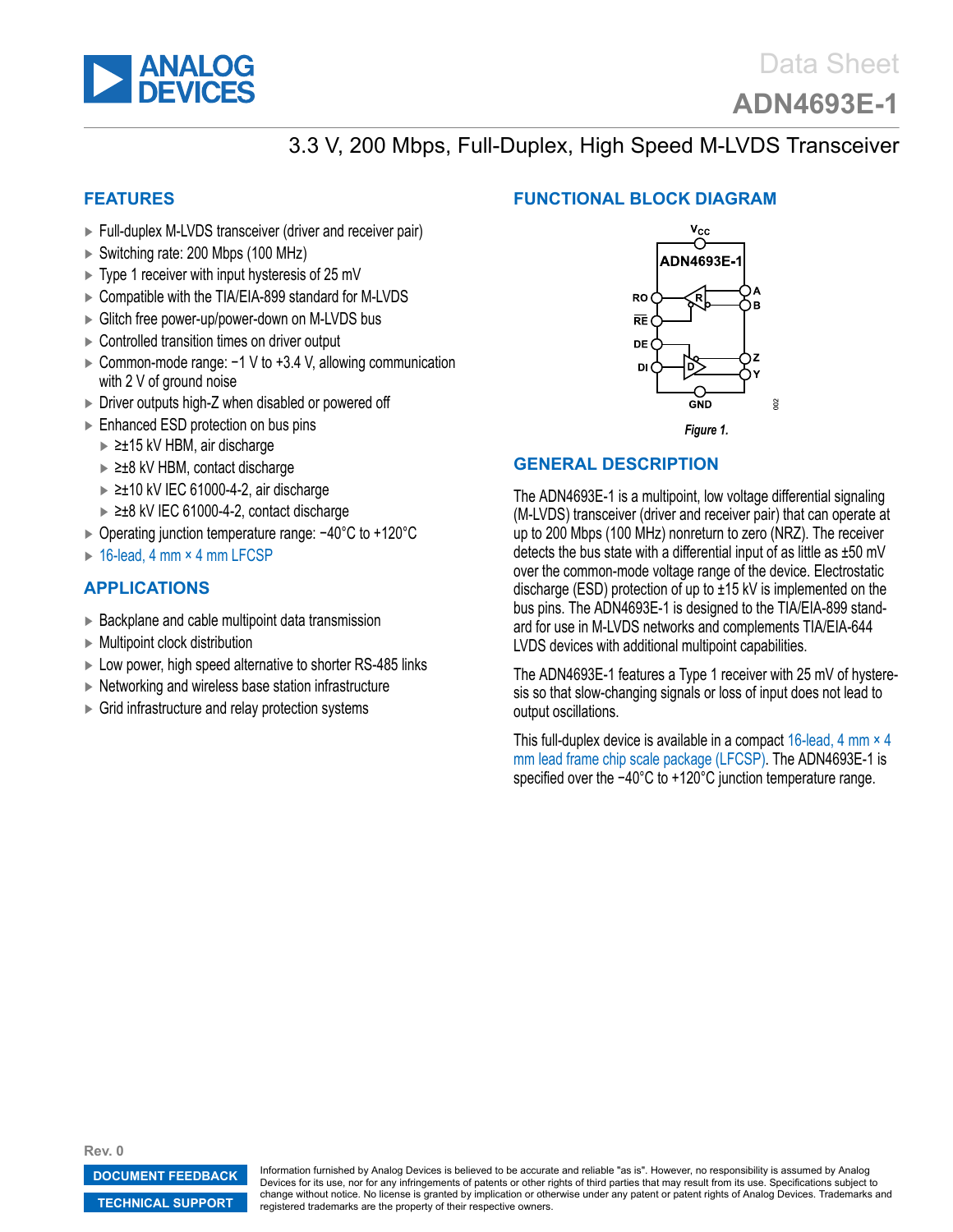<span id="page-0-0"></span>

**[ADN4693E-1](http://www.analog.com/ADN4693E-1)**

# 3.3 V, 200 Mbps, Full-Duplex, High Speed M-LVDS Transceiver

### **FEATURES**

- ► Full-duplex M-LVDS transceiver (driver and receiver pair)
- ► Switching rate: 200 Mbps (100 MHz)
- ► Type 1 receiver with input hysteresis of 25 mV
- ► Compatible with the TIA/EIA-899 standard for M-LVDS
- ► Glitch free power-up/power-down on M-LVDS bus
- ► Controlled transition times on driver output
- ► Common-mode range: −1 V to +3.4 V, allowing communication with 2 V of ground noise
- ► Driver outputs high-Z when disabled or powered off
- ► Enhanced ESD protection on bus pins
	- ► ≥±15 kV HBM, air discharge
	- ► ≥±8 kV HBM, contact discharge
	- ► ≥±10 kV IEC 61000-4-2, air discharge
	- ► ≥±8 kV IEC 61000-4-2, contact discharge
- ► Operating junction temperature range: −40°C to +120°C
- ► [16-lead, 4 mm × 4 mm LFCSP](#page-16-0)

### **APPLICATIONS**

- ► Backplane and cable multipoint data transmission
- ► Multipoint clock distribution
- ► Low power, high speed alternative to shorter RS-485 links
- ► Networking and wireless base station infrastructure
- ► Grid infrastructure and relay protection systems

## **FUNCTIONAL BLOCK DIAGRAM**



### **GENERAL DESCRIPTION**

The ADN4693E-1 is a multipoint, low voltage differential signaling (M-LVDS) transceiver (driver and receiver pair) that can operate at up to 200 Mbps (100 MHz) nonreturn to zero (NRZ). The receiver detects the bus state with a differential input of as little as ±50 mV over the common-mode voltage range of the device. Electrostatic discharge (ESD) protection of up to ±15 kV is implemented on the bus pins. The ADN4693E-1 is designed to the TIA/EIA-899 standard for use in M-LVDS networks and complements TIA/EIA-644 LVDS devices with additional multipoint capabilities.

The ADN4693E-1 features a Type 1 receiver with 25 mV of hysteresis so that slow-changing signals or loss of input does not lead to output oscillations.

This full-duplex device is available in a compact  $16$ -lead, 4 mm  $\times$  4 [mm lead frame chip scale package \(LFCSP\).](#page-16-0) The ADN4693E-1 is specified over the −40°C to +120°C junction temperature range.

**Rev. 0**

**[DOCUMENT FEEDBACK](https://form.analog.com/Form_Pages/feedback/documentfeedback.aspx?doc=ADN4693E-1.pdf&product=ADN4693E-1&rev=0 ) [TECHNICAL SUPPORT](http://www.analog.com/en/content/technical_support_page/fca.html)**

Information furnished by Analog Devices is believed to be accurate and reliable "as is". However, no responsibility is assumed by Analog Devices for its use, nor for any infringements of patents or other rights of third parties that may result from its use. Specifications subject to change without notice. No license is granted by implication or otherwise under any patent or patent rights of Analog Devices. Trademarks and registered trademarks are the property of their respective owners.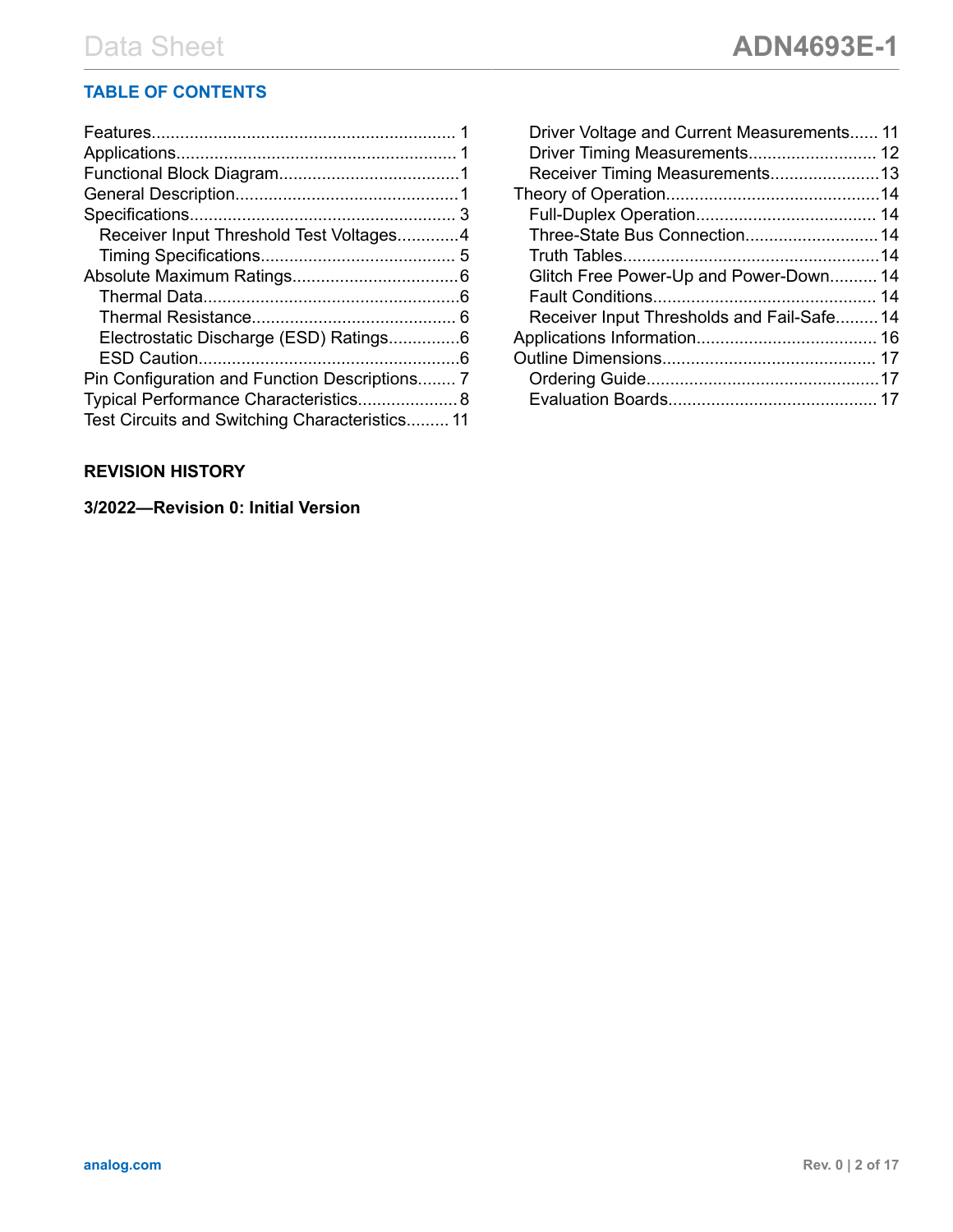# **TABLE OF CONTENTS**

| Receiver Input Threshold Test Voltages4        |  |
|------------------------------------------------|--|
|                                                |  |
|                                                |  |
|                                                |  |
|                                                |  |
| Electrostatic Discharge (ESD) Ratings6         |  |
|                                                |  |
| Pin Configuration and Function Descriptions 7  |  |
| Typical Performance Characteristics 8          |  |
| Test Circuits and Switching Characteristics 11 |  |

## **REVISION HISTORY**

### **3/2022—Revision 0: Initial Version**

| Driver Voltage and Current Measurements 11 |  |
|--------------------------------------------|--|
|                                            |  |
| Receiver Timing Measurements13             |  |
|                                            |  |
|                                            |  |
| Three-State Bus Connection 14              |  |
|                                            |  |
| Glitch Free Power-Up and Power-Down 14     |  |
|                                            |  |
| Receiver Input Thresholds and Fail-Safe 14 |  |
|                                            |  |
|                                            |  |
|                                            |  |
|                                            |  |
|                                            |  |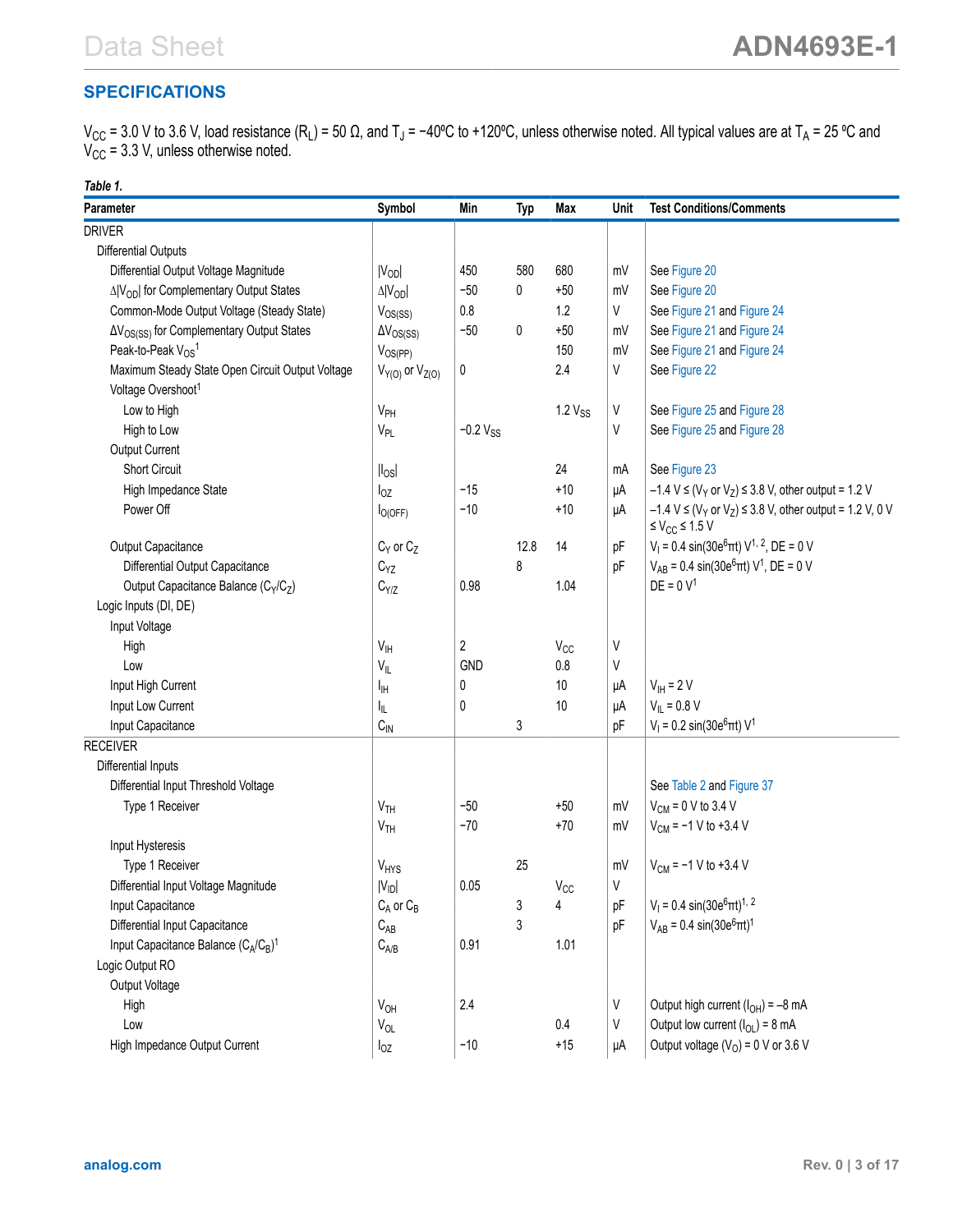# <span id="page-2-0"></span>**SPECIFICATIONS**

V<sub>CC</sub> = 3.0 V to 3.6 V, load resistance (R<sub>L</sub>) = 50 Ω, and Tյ = −40℃ to +120℃, unless otherwise noted. All typical values are at T<sub>A</sub> = 25 ℃ and  $V_{\rm CC}$  = 3.3 V, unless otherwise noted.

| Table 1.                                                                 |                          |                  |            |              |             |                                                                                                                   |
|--------------------------------------------------------------------------|--------------------------|------------------|------------|--------------|-------------|-------------------------------------------------------------------------------------------------------------------|
| Parameter                                                                | Symbol                   | Min              | <b>Typ</b> | Max          | Unit        | <b>Test Conditions/Comments</b>                                                                                   |
| <b>DRIVER</b>                                                            |                          |                  |            |              |             |                                                                                                                   |
| <b>Differential Outputs</b>                                              |                          |                  |            |              |             |                                                                                                                   |
| Differential Output Voltage Magnitude                                    | $ V_{OD} $               | 450              | 580        | 680          | mV          | See Figure 20                                                                                                     |
| ∆ V <sub>OD</sub>   for Complementary Output States                      | $\Delta$   $V_{OD}$      | $-50$            | 0          | $+50$        | mV          | See Figure 20                                                                                                     |
| Common-Mode Output Voltage (Steady State)                                | $V_{OS(SS)}$             | 0.8              |            | 1.2          | V           | See Figure 21 and Figure 24                                                                                       |
| $\Delta V_{OS(SS)}$ for Complementary Output States                      | $\Delta V_{OS(SS)}$      | $-50$            | 0          | $+50$        | mV          | See Figure 21 and Figure 24                                                                                       |
| Peak-to-Peak $V_{OS}$ <sup>1</sup>                                       | $V_{OS(PP)}$             |                  |            | 150          | mV          | See Figure 21 and Figure 24                                                                                       |
| Maximum Steady State Open Circuit Output Voltage                         | $V_{Y(0)}$ or $V_{Z(0)}$ | 0                |            | 2.4          | V           | See Figure 22                                                                                                     |
| Voltage Overshoot <sup>1</sup>                                           |                          |                  |            |              |             |                                                                                                                   |
| Low to High                                                              | $V_{PH}$                 |                  |            | $1.2 V_{SS}$ | V           | See Figure 25 and Figure 28                                                                                       |
| High to Low                                                              | $V_{PL}$                 | $-0.2$ $V_{SS}$  |            |              | V           | See Figure 25 and Figure 28                                                                                       |
| Output Current                                                           |                          |                  |            |              |             |                                                                                                                   |
| <b>Short Circuit</b>                                                     | $\vert I_{OS} \vert$     |                  |            | 24           | mA          | See Figure 23                                                                                                     |
| High Impedance State                                                     | $I_{OZ}$                 | $-15$            |            | $+10$        | μA          | $-1.4$ V $\leq$ (V <sub>Y</sub> or V <sub>Z</sub> ) $\leq$ 3.8 V, other output = 1.2 V                            |
| Power Off                                                                | $I_{O(OFF)}$             | $-10$            |            | $+10$        | μA          | $-1.4$ V $\leq$ (V <sub>Y</sub> or V <sub>Z</sub> ) $\leq$ 3.8 V, other output = 1.2 V, 0 V<br>≤ $V_{CC}$ ≤ 1.5 V |
| Output Capacitance                                                       | $C_Y$ or $C_Z$           |                  | 12.8       | 14           | pF          | $V_1$ = 0.4 sin(30e <sup>6</sup> πt) V <sup>1, 2</sup> , DE = 0 V                                                 |
| Differential Output Capacitance                                          | $C_{YZ}$                 |                  | 8          |              | pF          | $V_{AB}$ = 0.4 sin(30e <sup>6</sup> πt) V <sup>1</sup> , DE = 0 V                                                 |
| Output Capacitance Balance (Cy/Cz)                                       | $C_{Y/Z}$                | 0.98             |            | 1.04         |             | $DE = 0 V1$                                                                                                       |
| Logic Inputs (DI, DE)                                                    |                          |                  |            |              |             |                                                                                                                   |
| Input Voltage                                                            |                          |                  |            |              |             |                                                                                                                   |
| High                                                                     | V <sub>IH</sub>          | $\boldsymbol{2}$ |            | $V_{CC}$     | V           |                                                                                                                   |
| Low                                                                      | $V_{IL}$                 | <b>GND</b>       |            | $0.8\,$      | V           |                                                                                                                   |
| Input High Current                                                       | ŀщ                       | 0                |            | 10           | μA          | $V_{IH}$ = 2 V                                                                                                    |
| Input Low Current                                                        | I <sub>IL</sub>          | 0                |            | 10           | μA          | $V_{II} = 0.8 V$                                                                                                  |
| Input Capacitance                                                        | $C_{IN}$                 |                  | 3          |              | pF          | $V_1$ = 0.2 sin(30e <sup>6</sup> πt) $V^1$                                                                        |
| <b>RECEIVER</b>                                                          |                          |                  |            |              |             |                                                                                                                   |
| Differential Inputs                                                      |                          |                  |            |              |             |                                                                                                                   |
| Differential Input Threshold Voltage                                     |                          |                  |            |              |             | See Table 2 and Figure 37                                                                                         |
| Type 1 Receiver                                                          | V <sub>TH</sub>          | $-50$            |            | $+50$        | mV          | $V_{CM}$ = 0 V to 3.4 V                                                                                           |
|                                                                          | V <sub>TH</sub>          | $-70$            |            | $+70$        | mV          | $V_{CM}$ = -1 V to +3.4 V                                                                                         |
| Input Hysteresis                                                         |                          |                  |            |              |             |                                                                                                                   |
| Type 1 Receiver                                                          | V <sub>HYS</sub>         |                  | 25         |              | mV          | $V_{CM}$ = -1 V to +3.4 V                                                                                         |
| Differential Input Voltage Magnitude                                     | $ V_{ID} $               | 0.05             |            | $V_{CC}$     | V           |                                                                                                                   |
| Input Capacitance                                                        | $C_A$ or $C_B$           |                  | 3          | 4            | pF          | $V_1 = 0.4 \sin(30e^6 \pi t)^{1/2}$                                                                               |
| Differential Input Capacitance                                           | $C_{AB}$                 |                  | 3          |              | pF          | $V_{AB} = 0.4 \sin(30e^{6} \pi t)^{1}$                                                                            |
| Input Capacitance Balance (C <sub>A</sub> /C <sub>B</sub> ) <sup>1</sup> | $C_{A/B}$                | 0.91             |            | 1.01         |             |                                                                                                                   |
| Logic Output RO                                                          |                          |                  |            |              |             |                                                                                                                   |
| Output Voltage                                                           |                          |                  |            |              |             |                                                                                                                   |
| High                                                                     | $V_{OH}$                 | 2.4              |            |              | V           | Output high current $(I_{OH}) = -8$ mA                                                                            |
| Low                                                                      | $V_{OL}$                 |                  |            | 0.4          | $\mathsf V$ | Output low current $(IO1) = 8$ mA                                                                                 |
| High Impedance Output Current                                            | $I_{OZ}$                 | $-10$            |            | $+15$        | μA          | Output voltage $(VO) = 0$ V or 3.6 V                                                                              |
|                                                                          |                          |                  |            |              |             |                                                                                                                   |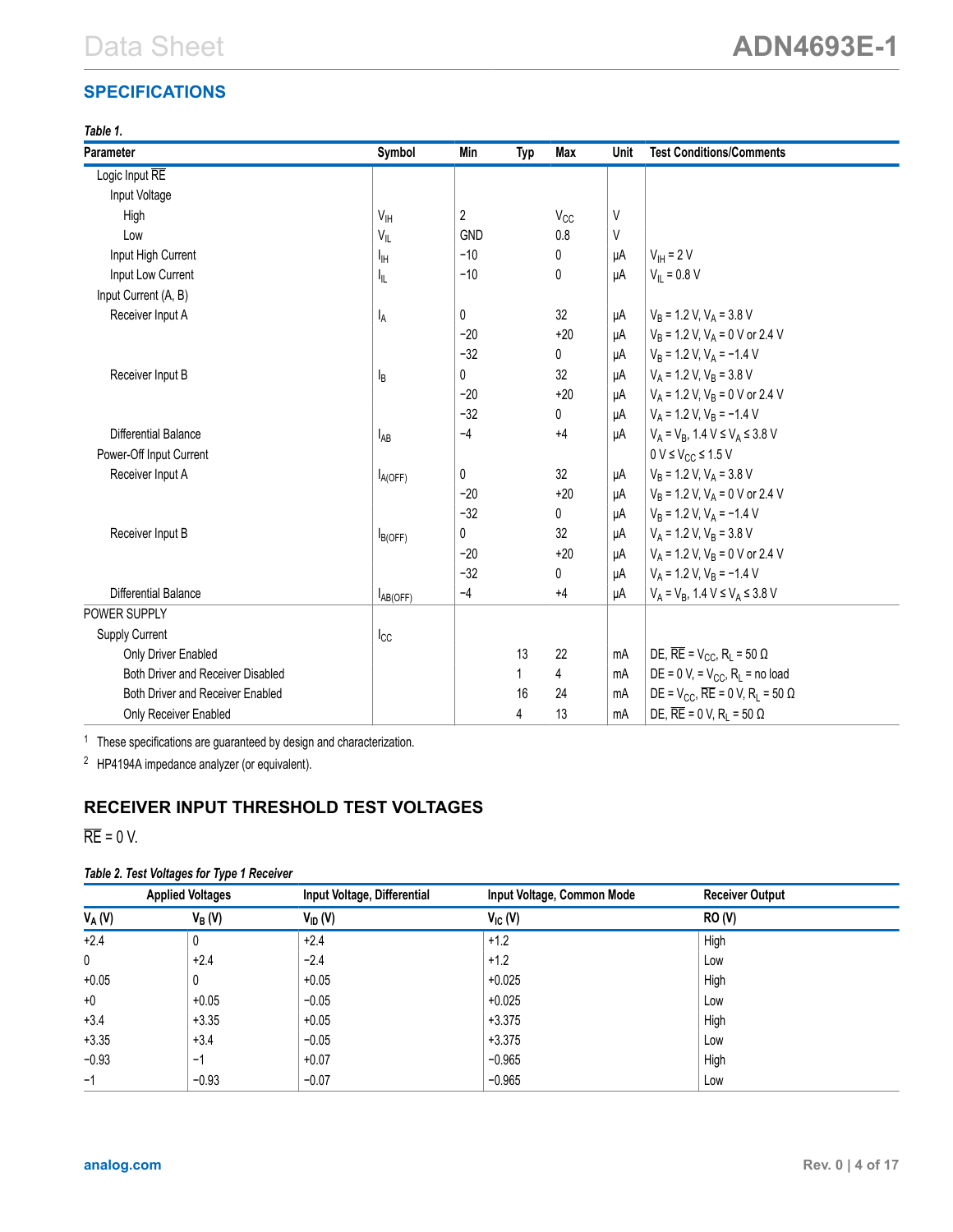## <span id="page-3-0"></span>**SPECIFICATIONS**

| Symbol          | Min                          | <b>Typ</b> | Max                   | <b>Unit</b> | <b>Test Conditions/Comments</b>                                     |
|-----------------|------------------------------|------------|-----------------------|-------------|---------------------------------------------------------------------|
|                 |                              |            |                       |             |                                                                     |
|                 |                              |            |                       |             |                                                                     |
| $V_{\text{IH}}$ | 2                            |            | <b>V<sub>cc</sub></b> | V           |                                                                     |
| $V_{IL}$        | <b>GND</b>                   |            | 0.8                   | V           |                                                                     |
| $I_{\text{IH}}$ | $-10$                        |            | 0                     | μA          | $V_{IH}$ = 2 V                                                      |
| I <sub>IL</sub> | $-10$                        |            | $\mathbf{0}$          | μA          | $V_{II} = 0.8 V$                                                    |
|                 |                              |            |                       |             |                                                                     |
| l <sub>A</sub>  | 0                            |            | 32                    | μA          | $V_B$ = 1.2 V, V <sub>A</sub> = 3.8 V                               |
|                 | $-20$                        |            | $+20$                 | μA          | $V_B$ = 1.2 V, $V_A$ = 0 V or 2.4 V                                 |
|                 | $-32$                        |            | 0                     | μA          | $V_B$ = 1.2 V, $V_A$ = -1.4 V                                       |
| ΙB              | 0                            |            | 32                    | μA          | $V_A$ = 1.2 V, $V_B$ = 3.8 V                                        |
|                 | $-20$                        |            | $+20$                 | uA          | $V_A$ = 1.2 V, $V_B$ = 0 V or 2.4 V                                 |
|                 | $-32$                        |            | 0                     | μA          | $V_A$ = 1.2 V, $V_B$ = -1.4 V                                       |
| <b>IAB</b>      | $-4$                         |            | $+4$                  | uA          | $V_A = V_B$ , 1.4 $V \le V_A \le 3.8$ V                             |
|                 |                              |            |                       |             | $0 V \leq V_{CC} \leq 1.5 V$                                        |
|                 | 0                            |            | 32                    | μA          | $V_B$ = 1.2 V, V <sub>A</sub> = 3.8 V                               |
|                 | $-20$                        |            | $+20$                 | μA          | $V_B$ = 1.2 V, V <sub>A</sub> = 0 V or 2.4 V                        |
|                 | $-32$                        |            | 0                     | uA          | $V_B$ = 1.2 V, $V_A$ = -1.4 V                                       |
|                 | 0                            |            | 32                    | μA          | $V_A$ = 1.2 V, $V_B$ = 3.8 V                                        |
|                 | $-20$                        |            | $+20$                 | uA          | $V_A$ = 1.2 V, $V_B$ = 0 V or 2.4 V                                 |
|                 | $-32$                        |            | 0                     | μA          | $V_A$ = 1.2 V, $V_B$ = -1.4 V                                       |
| $I_{AB(OFF)}$   | $-4$                         |            | $+4$                  | uA          | $V_A = V_B$ , 1.4 $V \le V_A \le 3.8$ V                             |
|                 |                              |            |                       |             |                                                                     |
| $I_{CC}$        |                              |            |                       |             |                                                                     |
|                 |                              | 13         | 22                    | mA          | DE, $\overline{RE}$ = $V_{CC}$ , $R_1$ = 50 $\Omega$                |
|                 |                              | 1          | 4                     | mA          | DE = 0 V, = $V_{CC}$ , R <sub>1</sub> = no load                     |
|                 |                              | 16         | 24                    | mA          | DE = V <sub>CC</sub> , $\overline{RE}$ = 0 V, R <sub>I</sub> = 50 Ω |
|                 |                              | 4          | 13                    | mA          | DE, $\overline{RE}$ = 0 V, R <sub>i</sub> = 50 $\Omega$             |
|                 | $I_{A(OFF)}$<br>$I_{B(OFF)}$ |            |                       |             |                                                                     |

<sup>1</sup> These specifications are guaranteed by design and characterization.

<sup>2</sup> HP4194A impedance analyzer (or equivalent).

# **RECEIVER INPUT THRESHOLD TEST VOLTAGES**

 $\overline{\text{RE}}$  = 0 V.

### *Table 2. Test Voltages for Type 1 Receiver*

|          | <b>Applied Voltages</b> | Input Voltage, Differential | Input Voltage, Common Mode | <b>Receiver Output</b> |
|----------|-------------------------|-----------------------------|----------------------------|------------------------|
| $V_A(V)$ | $V_B(V)$                | $V_{ID} (V)$                | $V_{IC} (V)$               | <b>RO (V)</b>          |
| $+2.4$   | 0                       | $+2.4$                      | $+1.2$                     | High                   |
| 0        | $+2.4$                  | $-2.4$                      | $+1.2$                     | Low                    |
| $+0.05$  | 0                       | $+0.05$                     | $+0.025$                   | High                   |
| $+0$     | $+0.05$                 | $-0.05$                     | $+0.025$                   | Low                    |
| $+3.4$   | $+3.35$                 | $+0.05$                     | $+3.375$                   | High                   |
| $+3.35$  | $+3.4$                  | $-0.05$                     | $+3.375$                   | Low                    |
| $-0.93$  | $-1$                    | $+0.07$                     | $-0.965$                   | High                   |
| -1       | $-0.93$                 | $-0.07$                     | $-0.965$                   | Low                    |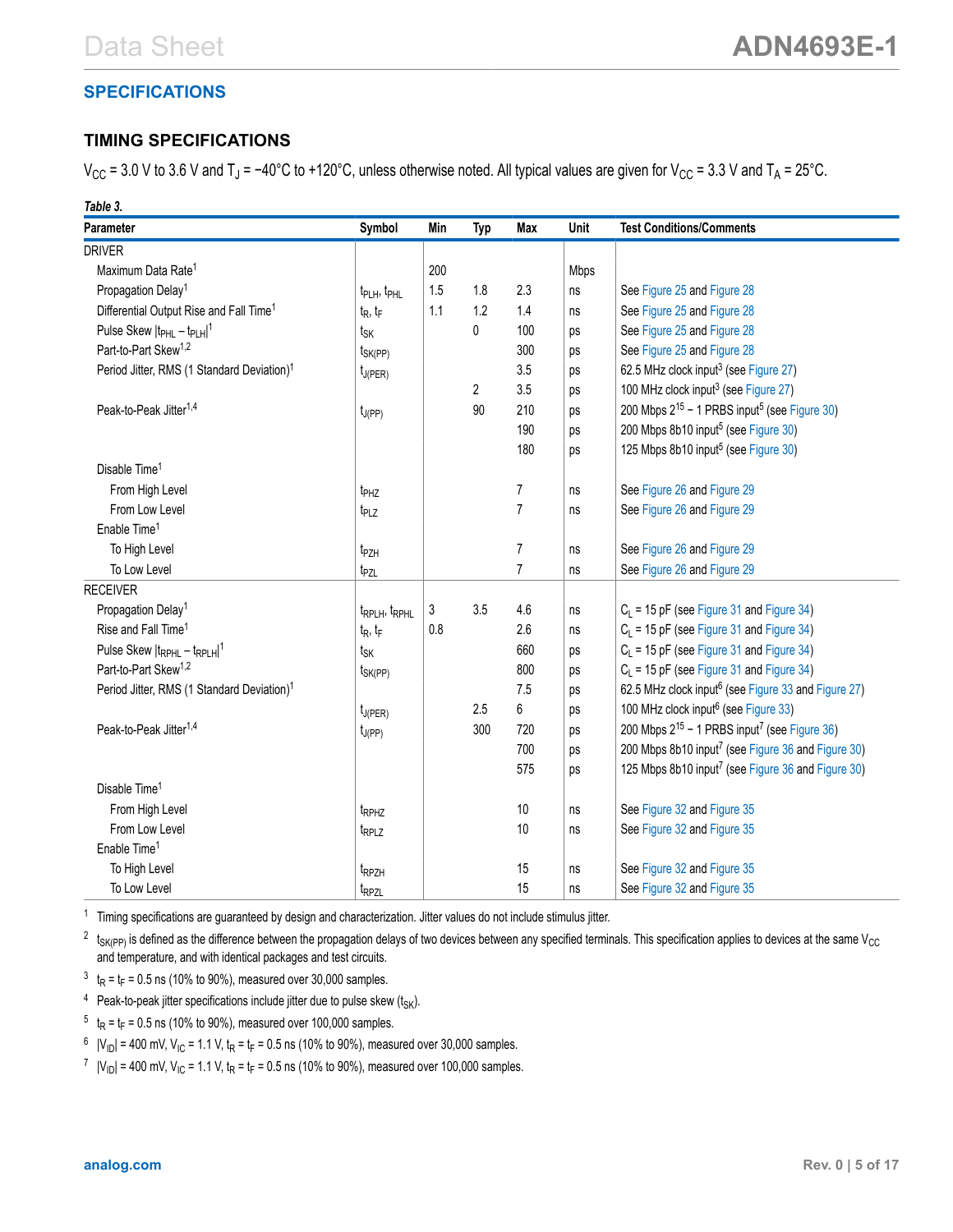# <span id="page-4-0"></span>**SPECIFICATIONS**

## **TIMING SPECIFICATIONS**

V<sub>CC</sub> = 3.0 V to 3.6 V and T<sub>J</sub> = −40°C to +120°C, unless otherwise noted. All typical values are given for V<sub>CC</sub> = 3.3 V and T<sub>A</sub> = 25°C.

| Table 3.                                               |                                       |     |                |                |      |                                                                 |
|--------------------------------------------------------|---------------------------------------|-----|----------------|----------------|------|-----------------------------------------------------------------|
| Parameter                                              | Symbol                                | Min | <b>Typ</b>     | Max            | Unit | <b>Test Conditions/Comments</b>                                 |
| <b>DRIVER</b>                                          |                                       |     |                |                |      |                                                                 |
| Maximum Data Rate <sup>1</sup>                         |                                       | 200 |                |                | Mbps |                                                                 |
| Propagation Delay <sup>1</sup>                         | t <sub>PLH</sub> , t <sub>PHL</sub>   | 1.5 | 1.8            | 2.3            | ns   | See Figure 25 and Figure 28                                     |
| Differential Output Rise and Fall Time <sup>1</sup>    | $t_R, t_F$                            | 1.1 | 1.2            | 1.4            | ns   | See Figure 25 and Figure 28                                     |
| Pulse Skew $ t_{PHL} - t_{PLH} ^1$                     | tsk                                   |     | 0              | 100            | ps   | See Figure 25 and Figure 28                                     |
| Part-to-Part Skew <sup>1,2</sup>                       | $t_{SK(PP)}$                          |     |                | 300            | ps   | See Figure 25 and Figure 28                                     |
| Period Jitter, RMS (1 Standard Deviation) <sup>1</sup> | t <sub>J(PER)</sub>                   |     |                | 3.5            | ps   | 62.5 MHz clock input <sup>3</sup> (see Figure 27)               |
|                                                        |                                       |     | $\overline{2}$ | 3.5            | ps   | 100 MHz clock input <sup>3</sup> (see Figure 27)                |
| Peak-to-Peak Jitter <sup>1,4</sup>                     | $t_{J(PP)}$                           |     | 90             | 210            | ps   | 200 Mbps $2^{15}$ – 1 PRBS input <sup>5</sup> (see Figure 30)   |
|                                                        |                                       |     |                | 190            | ps   | 200 Mbps 8b10 input <sup>5</sup> (see Figure 30)                |
|                                                        |                                       |     |                | 180            | ps   | 125 Mbps 8b10 input <sup>5</sup> (see Figure 30)                |
| Disable Time <sup>1</sup>                              |                                       |     |                |                |      |                                                                 |
| From High Level                                        | t <sub>PHZ</sub>                      |     |                | $\overline{7}$ | ns   | See Figure 26 and Figure 29                                     |
| From Low Level                                         | t <sub>PLZ</sub>                      |     |                | $\overline{7}$ | ns   | See Figure 26 and Figure 29                                     |
| Enable Time <sup>1</sup>                               |                                       |     |                |                |      |                                                                 |
| To High Level                                          | t <sub>PZH</sub>                      |     |                | 7              | ns   | See Figure 26 and Figure 29                                     |
| To Low Level                                           | t <sub>PZL</sub>                      |     |                | $\overline{7}$ | ns   | See Figure 26 and Figure 29                                     |
| <b>RECEIVER</b>                                        |                                       |     |                |                |      |                                                                 |
| Propagation Delay <sup>1</sup>                         | t <sub>RPLH</sub> , t <sub>RPHL</sub> | 3   | 3.5            | 4.6            | ns   | $C_L$ = 15 pF (see Figure 31 and Figure 34)                     |
| Rise and Fall Time <sup>1</sup>                        | $t_R, t_F$                            | 0.8 |                | 2.6            | ns   | $C_L$ = 15 pF (see Figure 31 and Figure 34)                     |
| Pulse Skew $ t_{RPHL} - t_{RPLH} ^1$                   | tsk                                   |     |                | 660            | ps   | $C_1$ = 15 pF (see Figure 31 and Figure 34)                     |
| Part-to-Part Skew <sup>1,2</sup>                       | $t_{SK(PP)}$                          |     |                | 800            | ps   | $C_L$ = 15 pF (see Figure 31 and Figure 34)                     |
| Period Jitter, RMS (1 Standard Deviation) <sup>1</sup> |                                       |     |                | 7.5            | ps   | 62.5 MHz clock input <sup>6</sup> (see Figure 33 and Figure 27) |
|                                                        | $t_{J(PER)}$                          |     | 2.5            | 6              | ps   | 100 MHz clock input <sup>6</sup> (see Figure 33)                |
| Peak-to-Peak Jitter <sup>1,4</sup>                     | $t_{J(PP)}$                           |     | 300            | 720            | ps   | 200 Mbps $2^{15}$ – 1 PRBS input <sup>7</sup> (see Figure 36)   |
|                                                        |                                       |     |                | 700            | ps   | 200 Mbps 8b10 input <sup>7</sup> (see Figure 36 and Figure 30)  |
|                                                        |                                       |     |                | 575            | ps   | 125 Mbps 8b10 input <sup>7</sup> (see Figure 36 and Figure 30)  |
| Disable Time <sup>1</sup>                              |                                       |     |                |                |      |                                                                 |
| From High Level                                        | t <sub>RPHZ</sub>                     |     |                | 10             | ns   | See Figure 32 and Figure 35                                     |
| From Low Level                                         | t <sub>RPLZ</sub>                     |     |                | 10             | ns   | See Figure 32 and Figure 35                                     |
| Enable Time <sup>1</sup>                               |                                       |     |                |                |      |                                                                 |
| To High Level                                          | t <sub>RPZH</sub>                     |     |                | 15             | ns   | See Figure 32 and Figure 35                                     |
| To Low Level                                           | t <sub>RPZL</sub>                     |     |                | 15             | ns   | See Figure 32 and Figure 35                                     |

<sup>1</sup> Timing specifications are guaranteed by design and characterization. Jitter values do not include stimulus jitter.

 $^2$  t<sub>SK(PP)</sub> is defined as the difference between the propagation delays of two devices between any specified terminals. This specification applies to devices at the same V<sub>CC</sub> and temperature, and with identical packages and test circuits.

 $3 t_R = t_F = 0.5$  ns (10% to 90%), measured over 30,000 samples.

<sup>4</sup> Peak-to-peak jitter specifications include jitter due to pulse skew  $(t_{SK})$ .

 $^{\circ}$  t<sub>R</sub> = t<sub>F</sub> = 0.5 ns (10% to 90%), measured over 100,000 samples.

 $^6$   $\,$  |V<sub>ID</sub>| = 400 mV, V<sub>IC</sub> = 1.1 V, t<sub>R</sub> = t<sub>F</sub> = 0.5 ns (10% to 90%), measured over 30,000 samples.

 $^7$   $\,$  |V<sub>ID</sub>| = 400 mV, V<sub>IC</sub> = 1.1 V, t<sub>R</sub> = t<sub>F</sub> = 0.5 ns (10% to 90%), measured over 100,000 samples.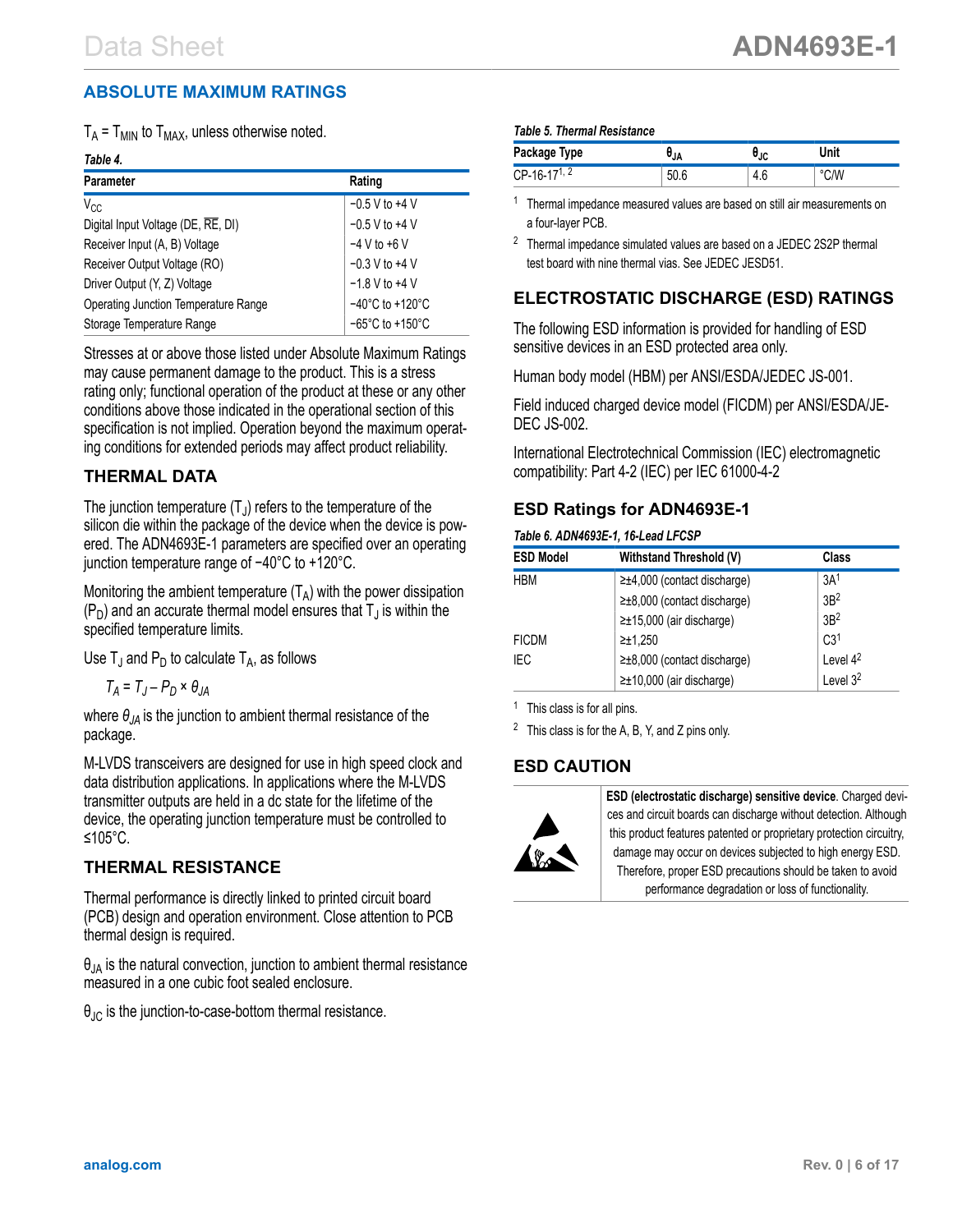## <span id="page-5-0"></span>**ABSOLUTE MAXIMUM RATINGS**

 $T_A$  =  $T_{MIN}$  to  $T_{MAX}$ , unless otherwise noted.

### *Table 4.*

| <b>Parameter</b>                     | Rating                               |
|--------------------------------------|--------------------------------------|
| $V_{CC}$                             | $-0.5$ V to $+4$ V                   |
| Digital Input Voltage (DE, RE, DI)   | $-0.5$ V to $+4$ V                   |
| Receiver Input (A, B) Voltage        | $-4$ V to $+6$ V                     |
| Receiver Output Voltage (RO)         | $-0.3$ V to $+4$ V                   |
| Driver Output (Y, Z) Voltage         | $-1.8$ V to $+4$ V                   |
| Operating Junction Temperature Range | $-40^{\circ}$ C to +120 $^{\circ}$ C |
| Storage Temperature Range            | $-65^{\circ}$ C to +150 $^{\circ}$ C |

Stresses at or above those listed under Absolute Maximum Ratings may cause permanent damage to the product. This is a stress rating only; functional operation of the product at these or any other conditions above those indicated in the operational section of this specification is not implied. Operation beyond the maximum operating conditions for extended periods may affect product reliability.

### **THERMAL DATA**

The junction temperature  $(T_J)$  refers to the temperature of the silicon die within the package of the device when the device is powered. The ADN4693E-1 parameters are specified over an operating junction temperature range of −40°C to +120°C.

Monitoring the ambient temperature  $(T_A)$  with the power dissipation (P<sub>D</sub>) and an accurate thermal model ensures that T<sub>J</sub> is within the specified temperature limits.

Use  $T_J$  and  $P_D$  to calculate  $T_A$ , as follows

$$
T_A = T_J - P_D \times \theta_{JA}
$$

where *θJA* is the junction to ambient thermal resistance of the package.

M-LVDS transceivers are designed for use in high speed clock and data distribution applications. In applications where the M-LVDS transmitter outputs are held in a dc state for the lifetime of the device, the operating junction temperature must be controlled to ≤105°C.

### **THERMAL RESISTANCE**

Thermal performance is directly linked to printed circuit board (PCB) design and operation environment. Close attention to PCB thermal design is required.

 $\theta_{JA}$  is the natural convection, junction to ambient thermal resistance measured in a one cubic foot sealed enclosure.

 $\theta_{\text{JC}}$  is the junction-to-case-bottom thermal resistance.

### *Table 5. Thermal Resistance*

| Package Type     | IJА | IJС | Unit |
|------------------|-----|-----|------|
| $CP-16-17^{1,2}$ |     | 4.U |      |

 $1$  Thermal impedance measured values are based on still air measurements on a four-layer PCB.

<sup>2</sup> Thermal impedance simulated values are based on a JEDEC 2S2P thermal test board with nine thermal vias. See JEDEC JESD51.

## **ELECTROSTATIC DISCHARGE (ESD) RATINGS**

The following ESD information is provided for handling of ESD sensitive devices in an ESD protected area only.

Human body model (HBM) per ANSI/ESDA/JEDEC JS-001.

Field induced charged device model (FICDM) per ANSI/ESDA/JE-DEC JS-002.

International Electrotechnical Commission (IEC) electromagnetic compatibility: Part 4-2 (IEC) per IEC 61000-4-2

## **ESD Ratings for ADN4693E-1**

### *Table 6. ADN4693E-1, 16-Lead LFCSP*

| <b>ESD Model</b> | Withstand Threshold (V)              | Class           |
|------------------|--------------------------------------|-----------------|
| <b>HBM</b>       | $\geq \pm 4,000$ (contact discharge) | 3A <sup>1</sup> |
|                  | $\geq \pm 8,000$ (contact discharge) | 3B <sup>2</sup> |
|                  | ≥±15,000 (air discharge)             | 3B <sup>2</sup> |
| <b>FICDM</b>     | $\geq$ 1.250                         | C3 <sup>1</sup> |
| IEC              | $\geq \pm 8,000$ (contact discharge) | Level $4^2$     |
|                  | ≥±10,000 (air discharge)             | Level $32$      |

<sup>1</sup> This class is for all pins.

<sup>2</sup> This class is for the A, B, Y, and Z pins only.

### **ESD CAUTION**



**ESD (electrostatic discharge) sensitive device**. Charged devices and circuit boards can discharge without detection. Although this product features patented or proprietary protection circuitry, damage may occur on devices subjected to high energy ESD. Therefore, proper ESD precautions should be taken to avoid performance degradation or loss of functionality.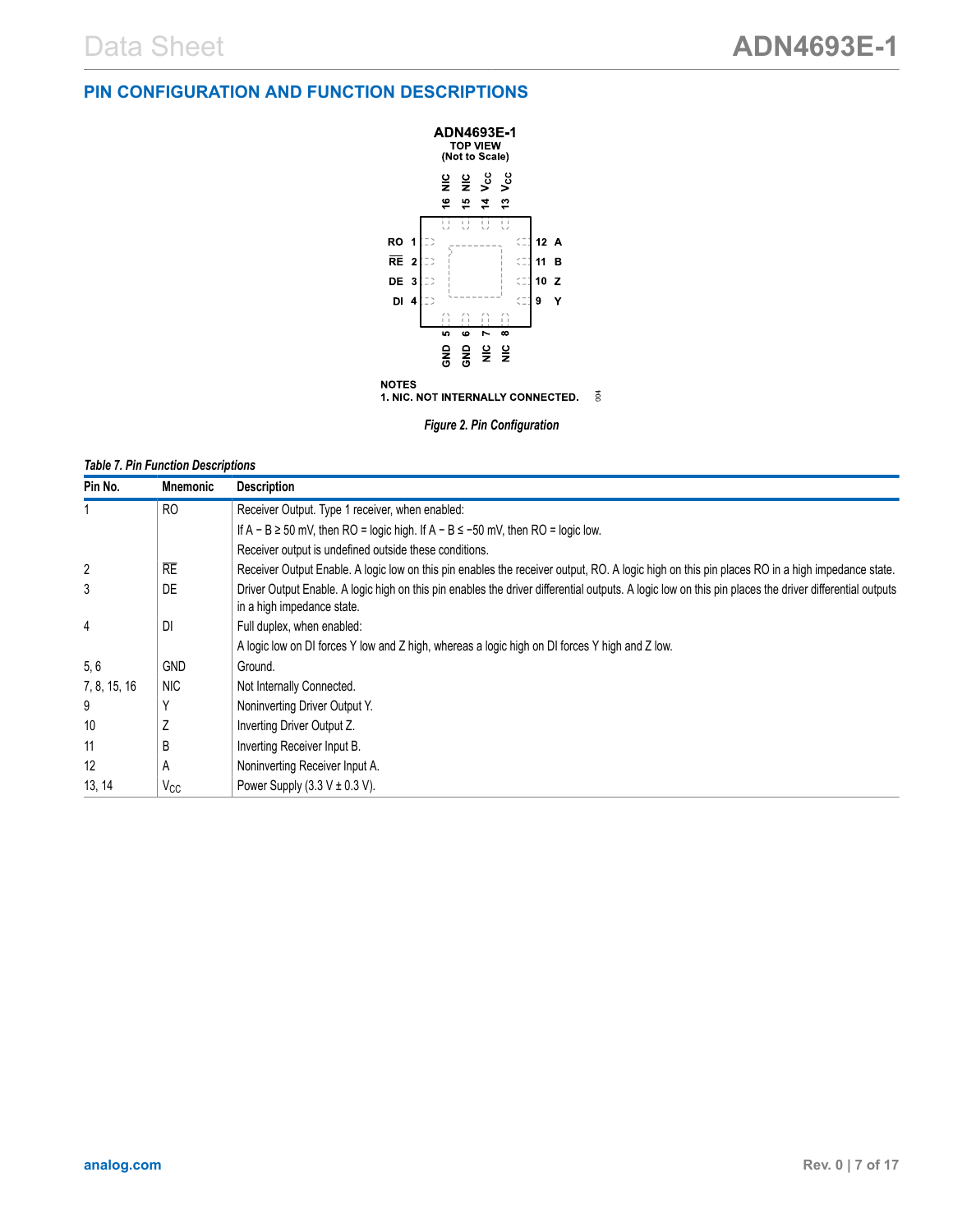### <span id="page-6-0"></span>**PIN CONFIGURATION AND FUNCTION DESCRIPTIONS**



<sup>1.</sup> NIC. NOT INTERNALLY CONNECTED. **5** 

### *Table 7. Pin Function Descriptions*

| Pin No.      | <b>Mnemonic</b> | <b>Description</b>                                                                                                                                                                   |
|--------------|-----------------|--------------------------------------------------------------------------------------------------------------------------------------------------------------------------------------|
|              | R <sub>O</sub>  | Receiver Output. Type 1 receiver, when enabled:                                                                                                                                      |
|              |                 | If $A - B \ge 50$ mV, then RO = logic high. If $A - B \le -50$ mV, then RO = logic low.                                                                                              |
|              |                 | Receiver output is undefined outside these conditions.                                                                                                                               |
| 2            | <b>RE</b>       | Receiver Output Enable. A logic low on this pin enables the receiver output, RO. A logic high on this pin places RO in a high impedance state.                                       |
| 3            | DE              | Driver Output Enable. A logic high on this pin enables the driver differential outputs. A logic low on this pin places the driver differential outputs<br>in a high impedance state. |
| 4            | DI              | Full duplex, when enabled:                                                                                                                                                           |
|              |                 | A logic low on DI forces Y low and Z high, whereas a logic high on DI forces Y high and Z low.                                                                                       |
| 5,6          | <b>GND</b>      | Ground.                                                                                                                                                                              |
| 7, 8, 15, 16 | <b>NIC</b>      | Not Internally Connected.                                                                                                                                                            |
| 9            |                 | Noninverting Driver Output Y.                                                                                                                                                        |
| 10           |                 | Inverting Driver Output Z.                                                                                                                                                           |
| 11           | B               | Inverting Receiver Input B.                                                                                                                                                          |
| 12           | A               | Noninverting Receiver Input A.                                                                                                                                                       |
| 13, 14       | $V_{\rm CC}$    | Power Supply $(3.3 \text{ V} \pm 0.3 \text{ V})$ .                                                                                                                                   |

*Figure 2. Pin Configuration*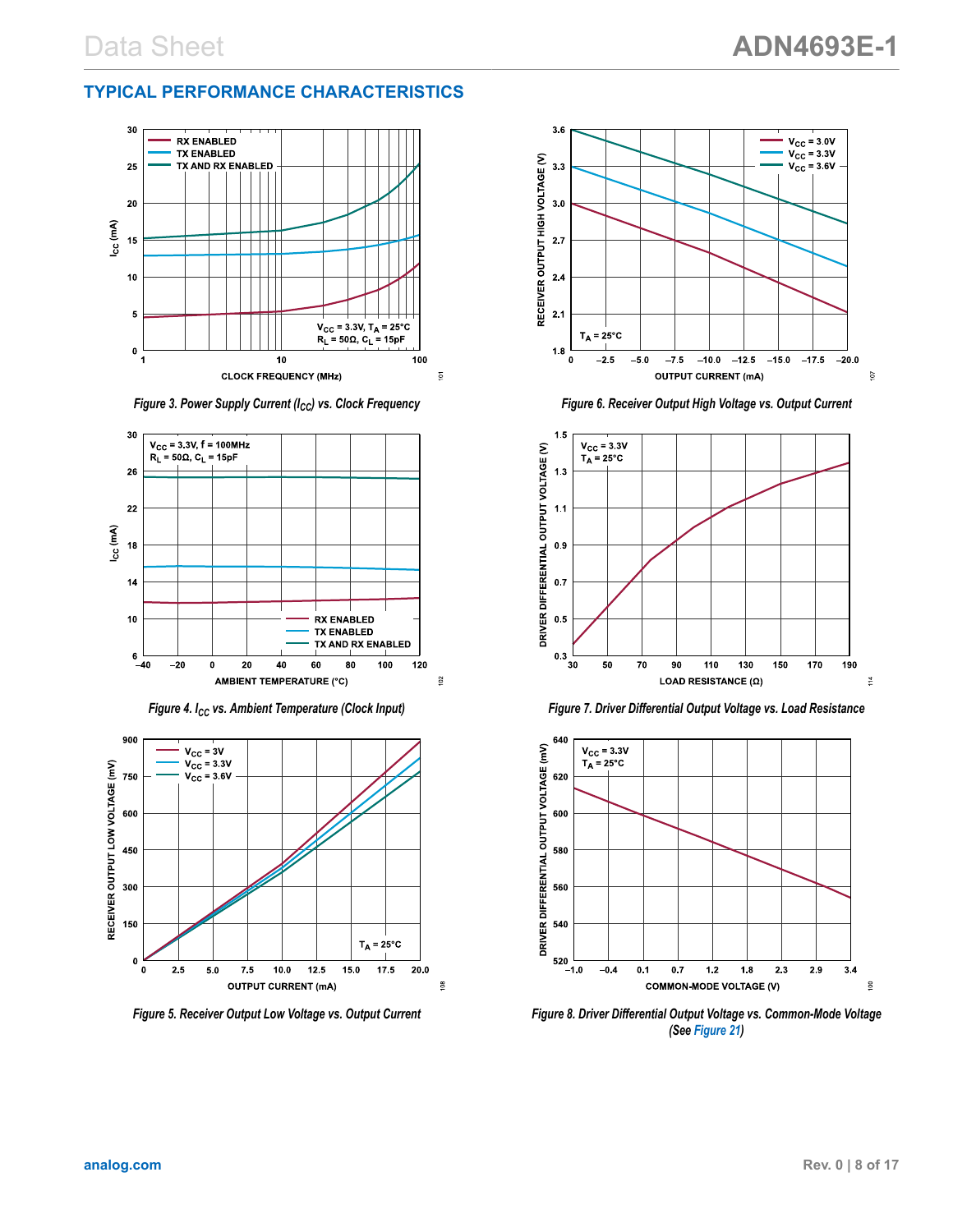## <span id="page-7-0"></span>**TYPICAL PERFORMANCE CHARACTERISTICS**



*Figure 3. Power Supply Current (ICC) vs. Clock Frequency*







*Figure 5. Receiver Output Low Voltage vs. Output Current*



*Figure 6. Receiver Output High Voltage vs. Output Current*



*Figure 7. Driver Differential Output Voltage vs. Load Resistance*



*Figure 8. Driver Differential Output Voltage vs. Common-Mode Voltage (See [Figure 21\)](#page-10-0)*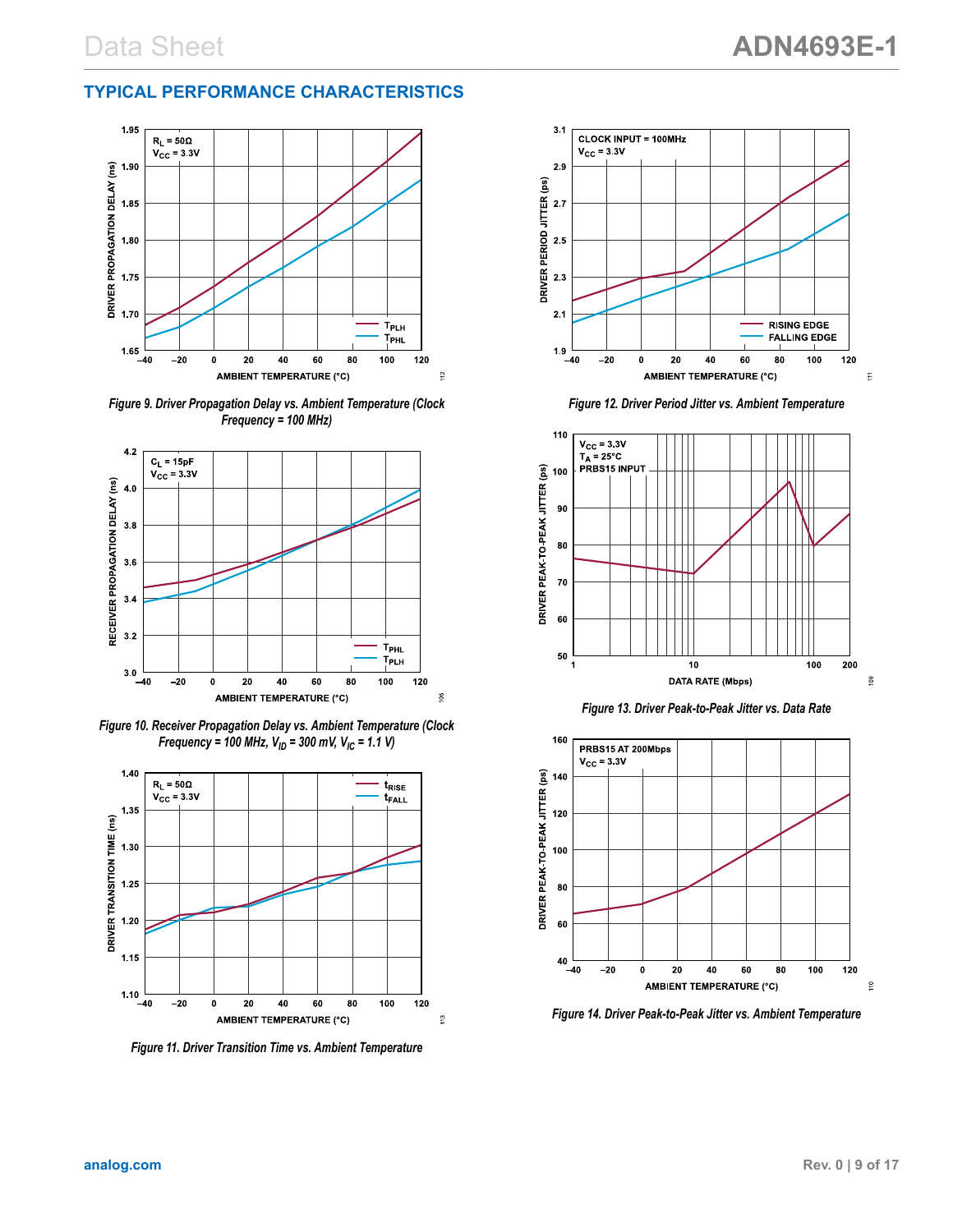## **TYPICAL PERFORMANCE CHARACTERISTICS**



*Figure 9. Driver Propagation Delay vs. Ambient Temperature (Clock Frequency = 100 MHz)*



*Figure 10. Receiver Propagation Delay vs. Ambient Temperature (Clock Frequency = 100 MHz,*  $V_{ID}$  *= 300 mV,*  $V_{IC}$  *= 1.1 V)* 



*Figure 11. Driver Transition Time vs. Ambient Temperature*



*Figure 12. Driver Period Jitter vs. Ambient Temperature*



*Figure 13. Driver Peak-to-Peak Jitter vs. Data Rate*



*Figure 14. Driver Peak-to-Peak Jitter vs. Ambient Temperature*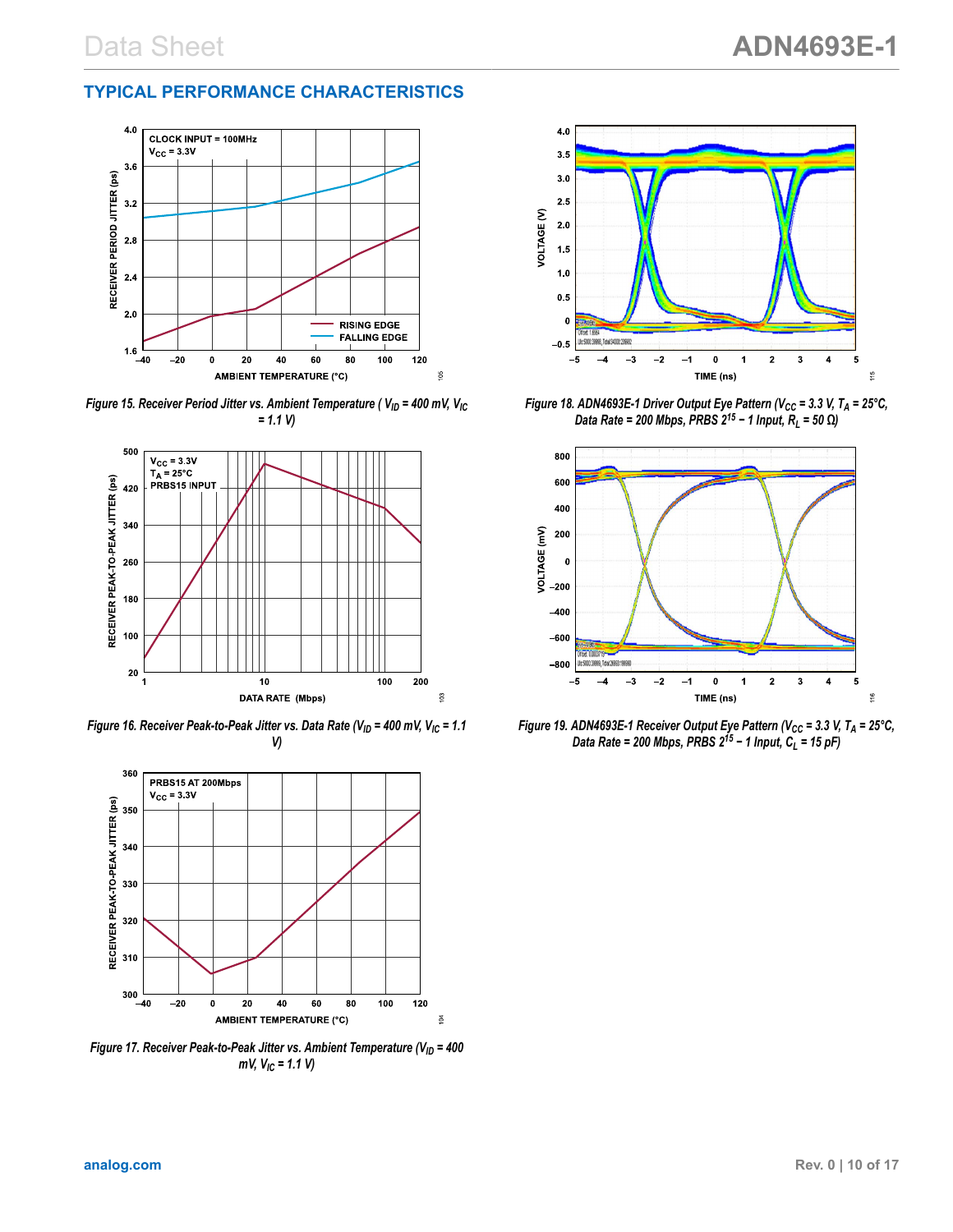## **TYPICAL PERFORMANCE CHARACTERISTICS**



*Figure 15. Receiver Period Jitter vs. Ambient Temperature ( VID = 400 mV, VIC = 1.1 V)*



*Figure 16. Receiver Peak-to-Peak Jitter vs. Data Rate (V<sub>ID</sub> = 400 mV, V<sub>IC</sub> = 1.1 V)*



*Figure 17. Receiver Peak-to-Peak Jitter vs. Ambient Temperature (VID = 400 mV, VIC = 1.1 V)*



*Figure 18. ADN4693E-1 Driver Output Eye Pattern (VCC = 3.3 V, T<sup>A</sup> = 25°C, Data Rate = 200 Mbps, PRBS 2<sup>15</sup> − 1 Input, R<sup>L</sup> = 50 Ω)*



*Figure 19. ADN4693E-1 Receiver Output Eye Pattern (VCC = 3.3 V, T<sup>A</sup> = 25°C, Data Rate = 200 Mbps, PRBS 2<sup>15</sup> − 1 Input, C<sup>L</sup> = 15 pF)*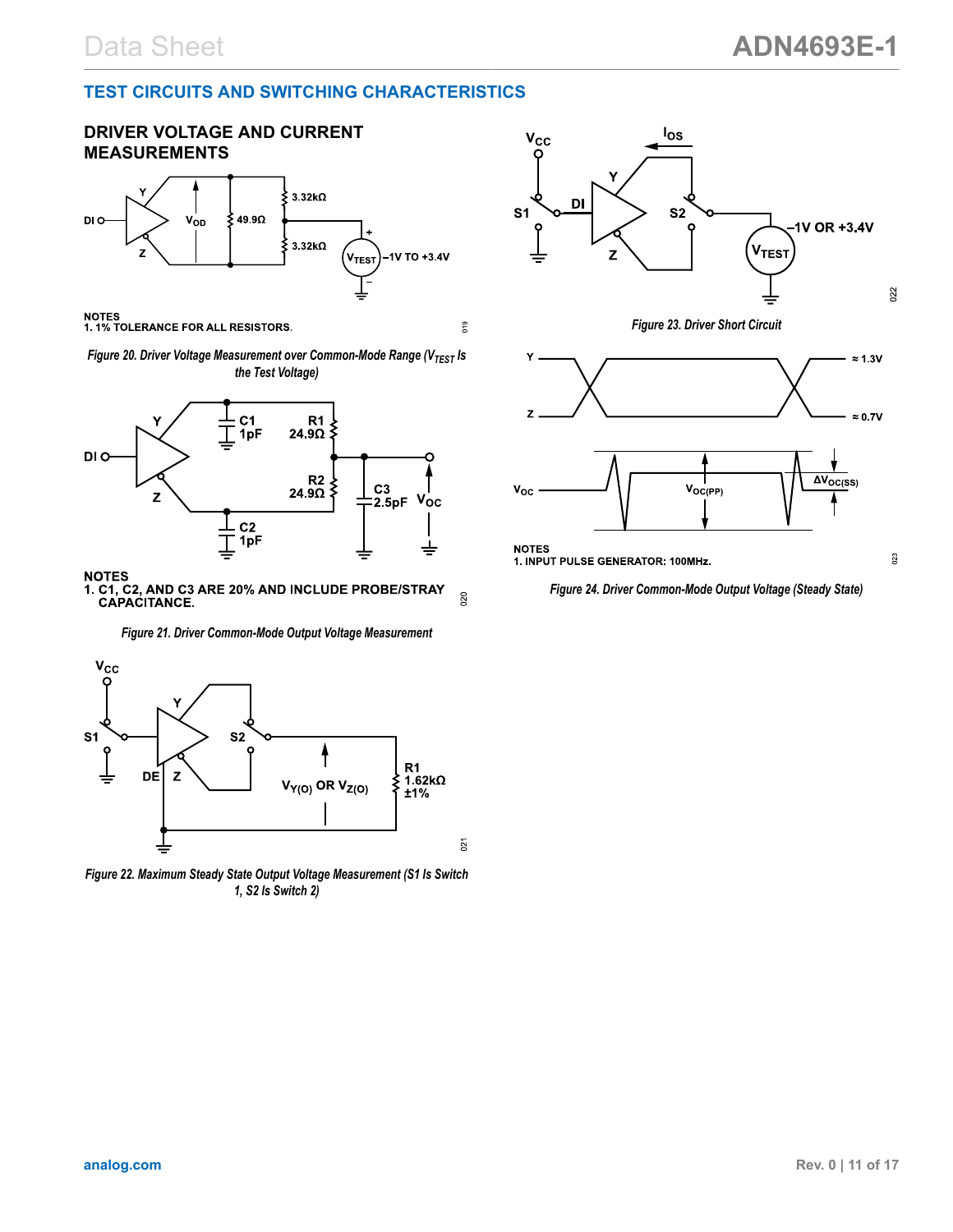### <span id="page-10-0"></span>**TEST CIRCUITS AND SWITCHING CHARACTERISTICS**



NOTES<br>1.1% TOLERANCE FOR ALL RESISTORS.

*Figure 20. Driver Voltage Measurement over Common-Mode Range (V<sub>TEST</sub> Is the Test Voltage)*



**NOTES<br>1. C1, C2, AND C3 ARE 20% AND INCLUDE PROBE/STRAY<br>CAPACITANCE.** 020

*Figure 21. Driver Common-Mode Output Voltage Measurement*



*Figure 22. Maximum Steady State Output Voltage Measurement (S1 Is Switch 1, S2 Is Switch 2)*



*Figure 23. Driver Short Circuit*



019

NOTES<br>1. INPUT PULSE GENERATOR: 100MHz.

*Figure 24. Driver Common-Mode Output Voltage (Steady State)*

023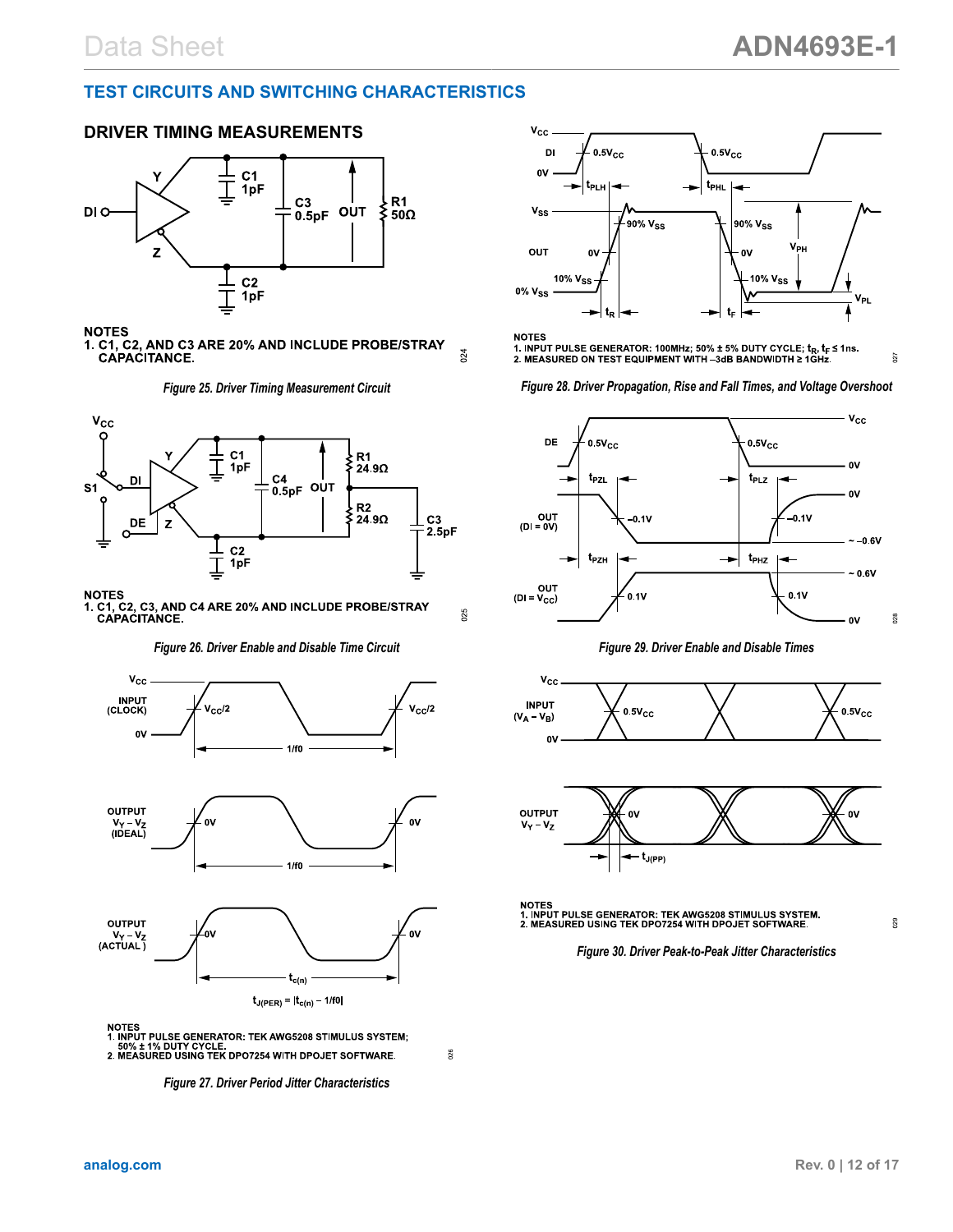$027$ 

## <span id="page-11-0"></span>**TEST CIRCUITS AND SWITCHING CHARACTERISTICS**

### **DRIVER TIMING MEASUREMENTS**



**NOTES** 

**NOTE: 1.00 C3 ARE 20% AND INCLUDE PROBE/STRAY<br>CAPACITANCE.** 





NOTES<br>1. C1, C2, C3, AND C4 ARE 20% AND INCLUDE PROBE/STRAY<br>CAPACITANCE.

*Figure 26. Driver Enable and Disable Time Circuit*





*Figure 27. Driver Period Jitter Characteristics*



**NOTES** 

 $024$ 

025

 $026$ 

1. INPUT PULSE GENERATOR: 100MHz; 50% ± 5% DUTY CYCLE; t<sub>r</sub>, t<sub>r</sub> ≤ 1ns.<br>2. MEASURED ON TEST EQUIPMENT WITH -3dB BANDWIDTH ≥ 1GHz.

### *Figure 28. Driver Propagation, Rise and Fall Times, and Voltage Overshoot*



*Figure 29. Driver Enable and Disable Times*



NOTES<br>1. INPUT PULSE GENERATOR: TEK AWG5208 STIMULUS SYSTEM.<br>2. MEASURED USING TEK DPO7254 WITH DPOJET SOFTWARE.

*Figure 30. Driver Peak-to-Peak Jitter Characteristics*

 $029$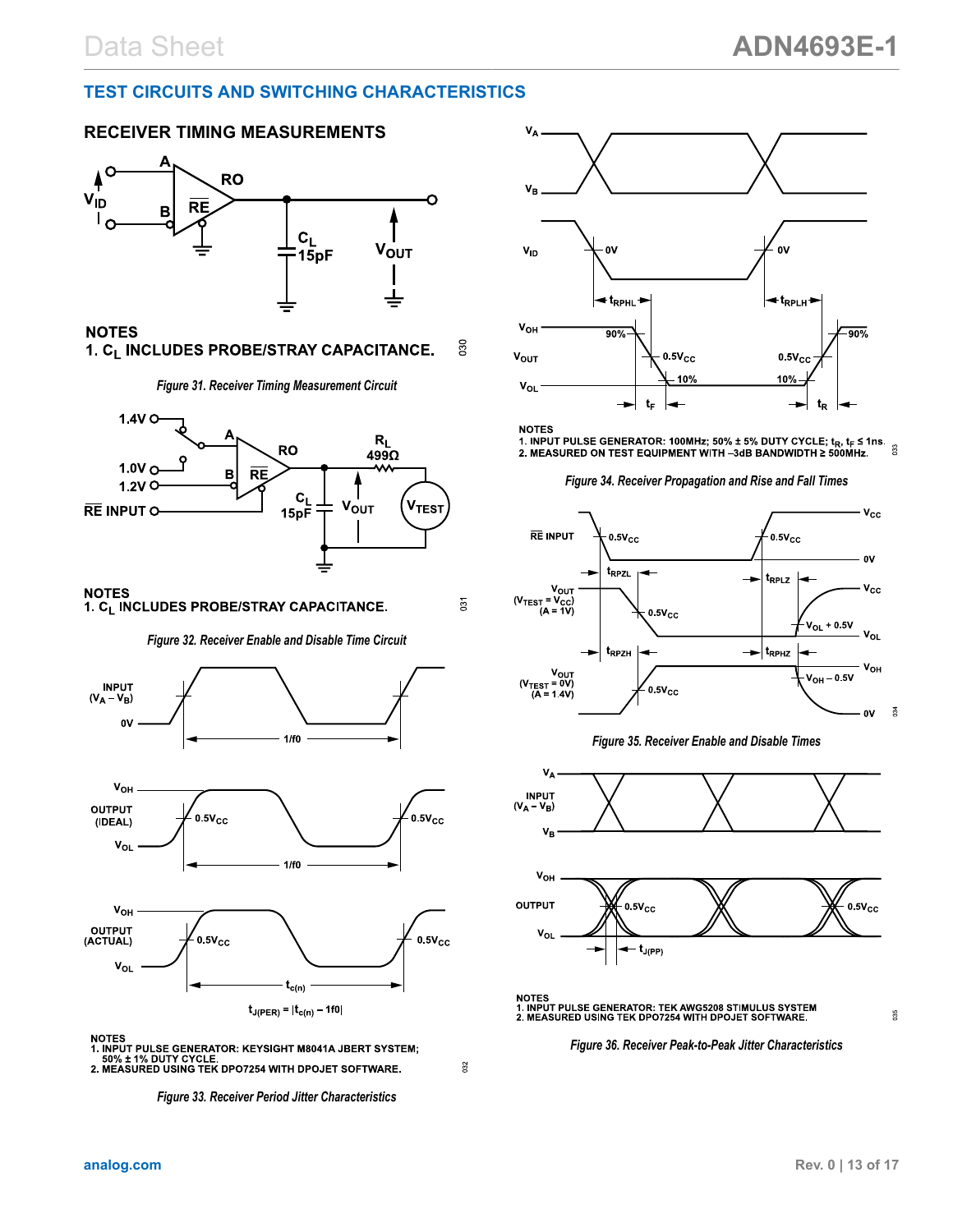### <span id="page-12-0"></span>**TEST CIRCUITS AND SWITCHING CHARACTERISTICS**

### **RECEIVER TIMING MEASUREMENTS**



### **NOTES**

### 1. CL INCLUDES PROBE/STRAY CAPACITANCE.





### **NOTES**

### 1. CL INCLUDES PROBE/STRAY CAPACITANCE.

*Figure 32. Receiver Enable and Disable Time Circuit*





*Figure 33. Receiver Period Jitter Characteristics*



**NOTES** 

80

031

 $032$ 

NOTED THE GENERATOR: 100MHz; 50% ± 5% DUTY CYCLE; t<sub>r</sub>, t<sub>r</sub> ≤ 1ns.<br>2. MEASURED ON TEST EQUIPMENT WITH –3dB BANDWIDTH ≥ 500MHz.

### *Figure 34. Receiver Propagation and Rise and Fall Times*



*Figure 35. Receiver Enable and Disable Times*



NOTES<br>1. INPUT PULSE GENERATOR: TEK AWG5208 STIMULUS SYSTEM<br>2. MEASURED USING TEK DPO7254 WITH DPOJET SOFTWARE.

*Figure 36. Receiver Peak-to-Peak Jitter Characteristics*

035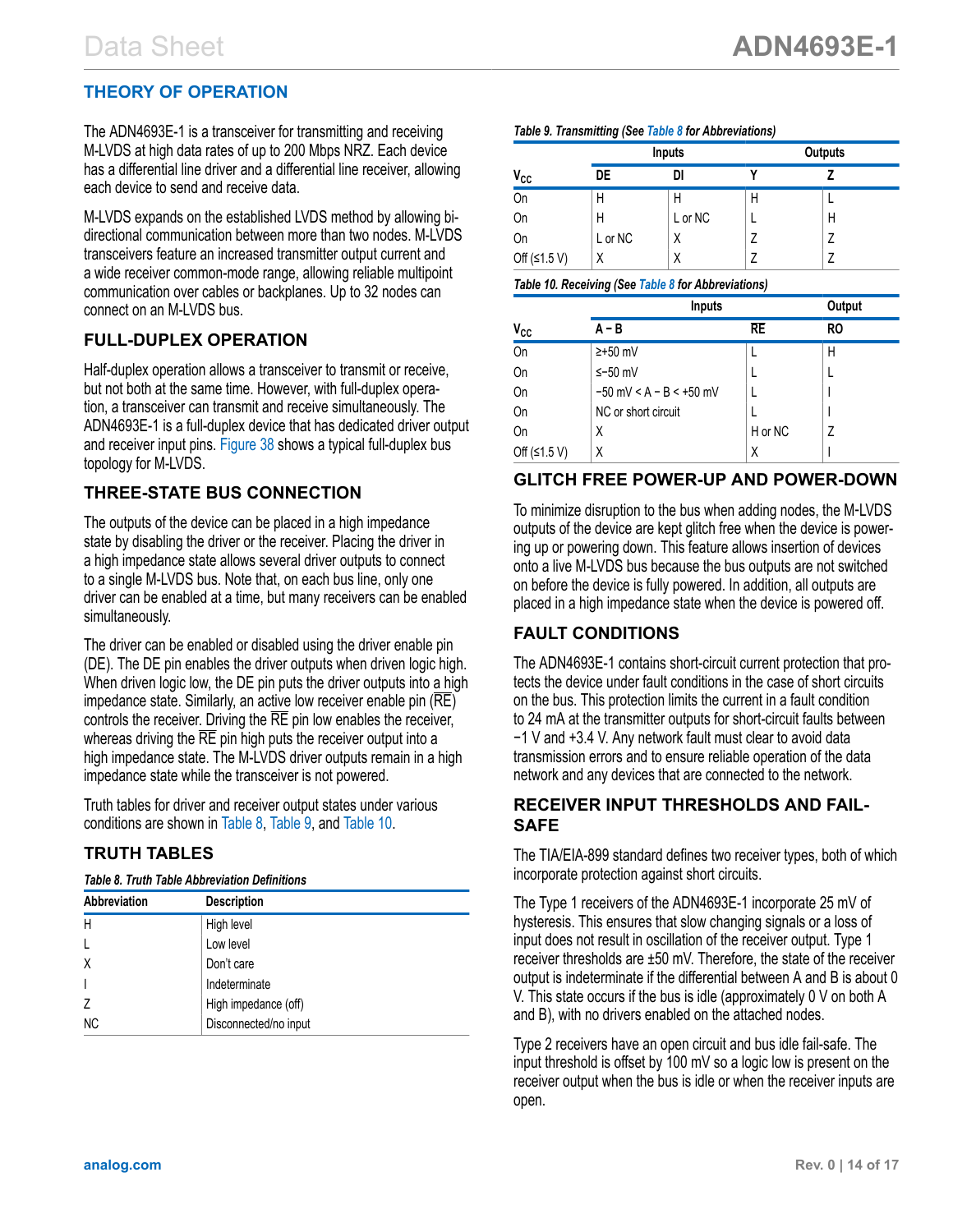# <span id="page-13-0"></span>**THEORY OF OPERATION**

The ADN4693E-1 is a transceiver for transmitting and receiving M-LVDS at high data rates of up to 200 Mbps NRZ. Each device has a differential line driver and a differential line receiver, allowing each device to send and receive data.

M-LVDS expands on the established LVDS method by allowing bidirectional communication between more than two nodes. M-LVDS transceivers feature an increased transmitter output current and a wide receiver common-mode range, allowing reliable multipoint communication over cables or backplanes. Up to 32 nodes can connect on an M-LVDS bus.

## **FULL-DUPLEX OPERATION**

Half-duplex operation allows a transceiver to transmit or receive, but not both at the same time. However, with full-duplex operation, a transceiver can transmit and receive simultaneously. The ADN4693E-1 is a full-duplex device that has dedicated driver output and receiver input pins. [Figure 38](#page-15-0) shows a typical full-duplex bus topology for M-LVDS.

## **THREE-STATE BUS CONNECTION**

The outputs of the device can be placed in a high impedance state by disabling the driver or the receiver. Placing the driver in a high impedance state allows several driver outputs to connect to a single M-LVDS bus. Note that, on each bus line, only one driver can be enabled at a time, but many receivers can be enabled simultaneously.

The driver can be enabled or disabled using the driver enable pin (DE). The DE pin enables the driver outputs when driven logic high. When driven logic low, the DE pin puts the driver outputs into a high impedance state. Similarly, an active low receiver enable pin  $(\overline{\sf RE})$ controls the receiver. Driving the RE pin low enables the receiver, whereas driving the RE pin high puts the receiver output into a high impedance state. The M-LVDS driver outputs remain in a high impedance state while the transceiver is not powered.

Truth tables for driver and receiver output states under various conditions are shown in Table 8, Table 9, and Table 10.

## **TRUTH TABLES**

### *Table 8. Truth Table Abbreviation Definitions*

| Abbreviation | <b>Description</b>    |
|--------------|-----------------------|
| Н            | High level            |
| $\mathbf{I}$ | Low level             |
| X            | Don't care            |
|              | Indeterminate         |
| 7            | High impedance (off)  |
| <b>NC</b>    | Disconnected/no input |

|                          |         | <b>Inputs</b> | Outputs |   |  |
|--------------------------|---------|---------------|---------|---|--|
| $\mathsf{v}_\mathsf{cc}$ | DE      | DI            |         |   |  |
| On                       | Н       | Н             | Н       |   |  |
| On                       | Н       | L or NC       |         | Н |  |
| On                       | L or NC | Χ             |         |   |  |
| Off $(≤1.5 V)$           | Χ       | Χ             |         |   |  |

### *Table 10. Receiving (See Table 8 for Abbreviations)*

*Table 9. Transmitting (See Table 8 for Abbreviations)*

|                     | Inputs                      |           | Output    |  |
|---------------------|-----------------------------|-----------|-----------|--|
| $\frac{V_{cc}}{On}$ | A – B                       | <b>RE</b> | <b>RO</b> |  |
|                     | $\ge +50$ mV                |           | Н         |  |
| On                  | ≤-50 mV                     |           |           |  |
| On                  | $-50$ mV < A - B < $+50$ mV |           |           |  |
| On                  | NC or short circuit         |           |           |  |
| On                  | Χ                           | H or NC   | Z         |  |
| Off $(51.5 V)$      | Χ                           | Χ         |           |  |

### **GLITCH FREE POWER-UP AND POWER-DOWN**

To minimize disruption to the bus when adding nodes, the M‑LVDS outputs of the device are kept glitch free when the device is powering up or powering down. This feature allows insertion of devices onto a live M-LVDS bus because the bus outputs are not switched on before the device is fully powered. In addition, all outputs are placed in a high impedance state when the device is powered off.

## **FAULT CONDITIONS**

The ADN4693E-1 contains short-circuit current protection that protects the device under fault conditions in the case of short circuits on the bus. This protection limits the current in a fault condition to 24 mA at the transmitter outputs for short-circuit faults between −1 V and +3.4 V. Any network fault must clear to avoid data transmission errors and to ensure reliable operation of the data network and any devices that are connected to the network.

### **RECEIVER INPUT THRESHOLDS AND FAIL-SAFE**

The TIA/EIA-899 standard defines two receiver types, both of which incorporate protection against short circuits.

The Type 1 receivers of the ADN4693E-1 incorporate 25 mV of hysteresis. This ensures that slow changing signals or a loss of input does not result in oscillation of the receiver output. Type 1 receiver thresholds are ±50 mV. Therefore, the state of the receiver output is indeterminate if the differential between A and B is about 0 V. This state occurs if the bus is idle (approximately 0 V on both A and B), with no drivers enabled on the attached nodes.

Type 2 receivers have an open circuit and bus idle fail-safe. The input threshold is offset by 100 mV so a logic low is present on the receiver output when the bus is idle or when the receiver inputs are open.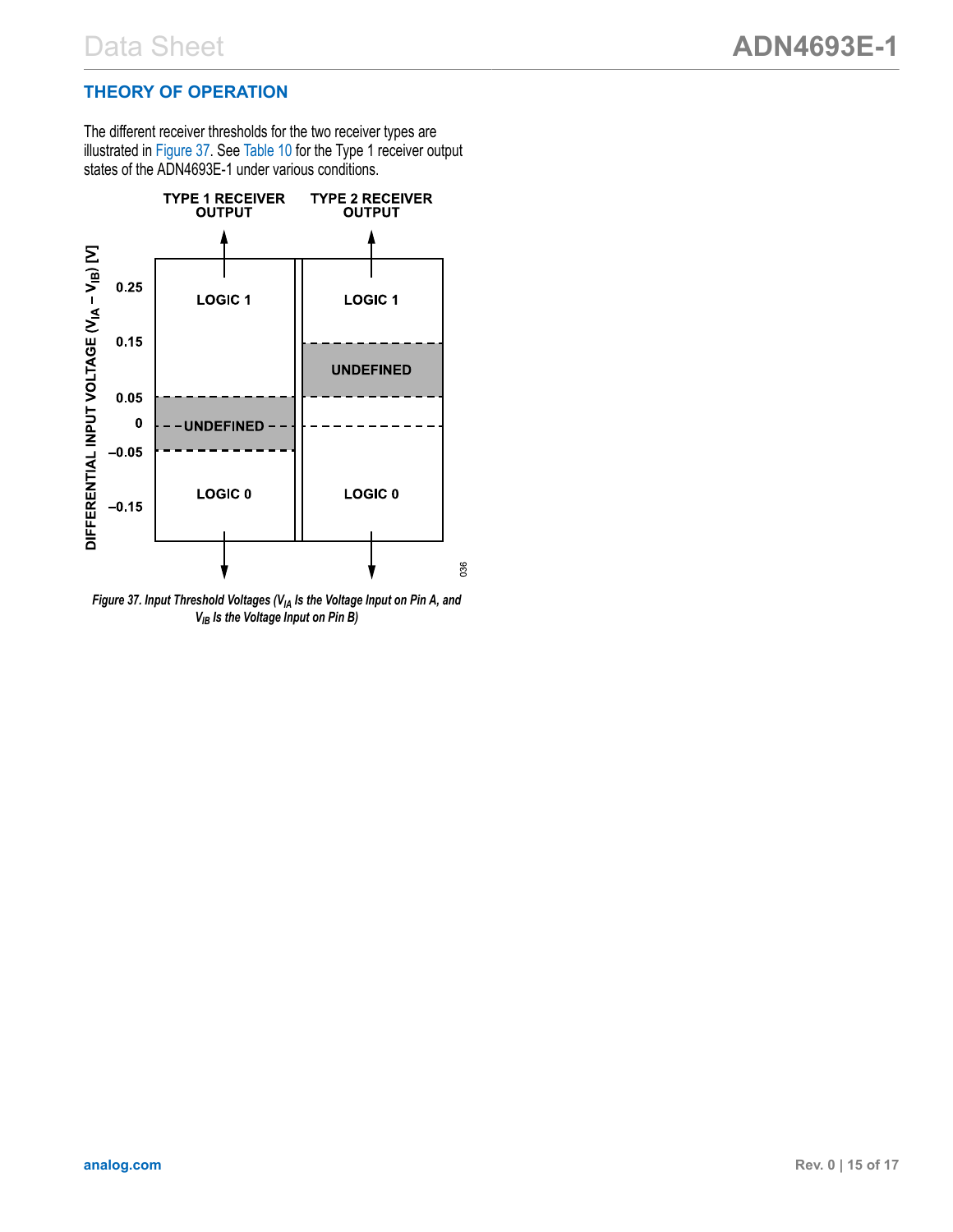# <span id="page-14-0"></span>**THEORY OF OPERATION**

The different receiver thresholds for the two receiver types are illustrated in Figure 37. See [Table 10](#page-13-0) for the Type 1 receiver output states of the ADN4693E-1 under various conditions.



*Figure 37. Input Threshold Voltages (VIA Is the Voltage Input on Pin A, and VIB Is the Voltage Input on Pin B)*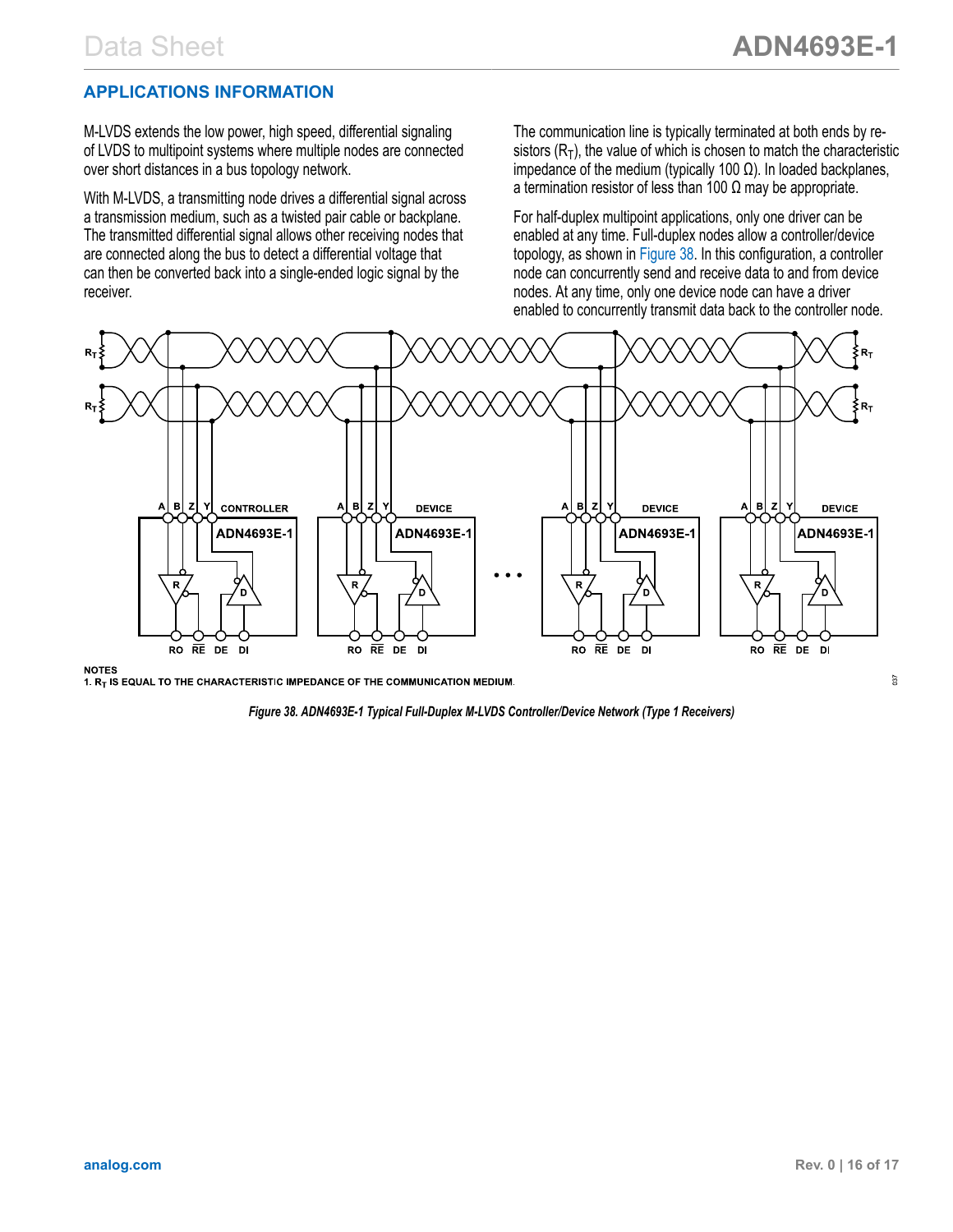### <span id="page-15-0"></span>**APPLICATIONS INFORMATION**

M-LVDS extends the low power, high speed, differential signaling of LVDS to multipoint systems where multiple nodes are connected over short distances in a bus topology network.

With M-LVDS, a transmitting node drives a differential signal across a transmission medium, such as a twisted pair cable or backplane. The transmitted differential signal allows other receiving nodes that are connected along the bus to detect a differential voltage that can then be converted back into a single-ended logic signal by the receiver.

The communication line is typically terminated at both ends by resistors  $(R<sub>T</sub>)$ , the value of which is chosen to match the characteristic impedance of the medium (typically 100 Ω). In loaded backplanes, a termination resistor of less than 100 Ω may be appropriate.

For half-duplex multipoint applications, only one driver can be enabled at any time. Full-duplex nodes allow a controller/device topology, as shown in Figure 38. In this configuration, a controller node can concurrently send and receive data to and from device nodes. At any time, only one device node can have a driver enabled to concurrently transmit data back to the controller node.



**NOTES** 

1. RT IS EQUAL TO THE CHARACTERISTIC IMPEDANCE OF THE COMMUNICATION MEDIUM.